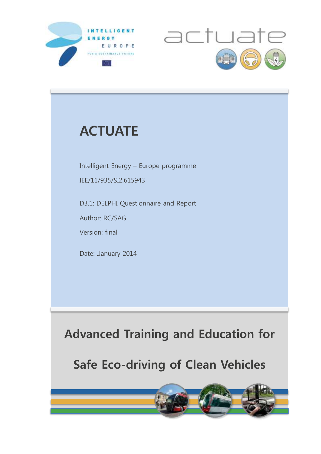



## **ACTUATE**

Intelligent Energy – Europe programme

IEE/11/935/SI2.615943

D3.1: DELPHI Questionnaire and Report

Author: RC/SAG

Version: final

Date: .January 2014

**Advanced Training and Education for**

**Safe Eco-driving of Clean Vehicles**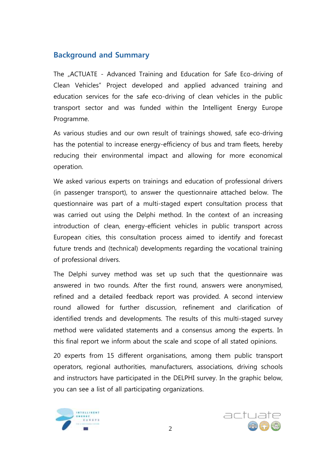## **Background and Summary**

The "ACTUATE - Advanced Training and Education for Safe Eco-driving of Clean Vehicles" Project developed and applied advanced training and education services for the safe eco-driving of clean vehicles in the public transport sector and was funded within the Intelligent Energy Europe Programme.

As various studies and our own result of trainings showed, safe eco-driving has the potential to increase energy-efficiency of bus and tram fleets, hereby reducing their environmental impact and allowing for more economical operation.

We asked various experts on trainings and education of professional drivers (in passenger transport), to answer the questionnaire attached below. The questionnaire was part of a multi-staged expert consultation process that was carried out using the Delphi method. In the context of an increasing introduction of clean, energy-efficient vehicles in public transport across European cities, this consultation process aimed to identify and forecast future trends and (technical) developments regarding the vocational training of professional drivers.

The Delphi survey method was set up such that the questionnaire was answered in two rounds. After the first round, answers were anonymised, refined and a detailed feedback report was provided. A second interview round allowed for further discussion, refinement and clarification of identified trends and developments. The results of this multi-staged survey method were validated statements and a consensus among the experts. In this final report we inform about the scale and scope of all stated opinions.

20 experts from 15 different organisations, among them public transport operators, regional authorities, manufacturers, associations, driving schools and instructors have participated in the DELPHI survey. In the graphic below, you can see a list of all participating organizations.



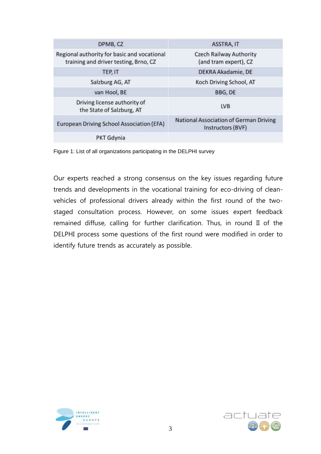| DPMB, CZ                                                                             | ASSTRA, IT                                                  |
|--------------------------------------------------------------------------------------|-------------------------------------------------------------|
| Regional authority for basic and vocational<br>training and driver testing, Brno, CZ | <b>Czech Railway Authority</b><br>(and tram expert), CZ     |
| TEP, IT                                                                              | DEKRA Akadamie, DE                                          |
| Salzburg AG, AT                                                                      | Koch Driving School, AT                                     |
| van Hool, BE                                                                         | BBG, DE                                                     |
| Driving license authority of<br>the State of Salzburg, AT                            | <b>LVB</b>                                                  |
| European Driving School Association (EFA)                                            | National Association of German Driving<br>Instructors (BVF) |
| PKT Gdynia                                                                           |                                                             |

Figure 1: List of all organizations participating in the DELPHI survey

Our experts reached a strong consensus on the key issues regarding future trends and developments in the vocational training for eco-driving of cleanvehicles of professional drivers already within the first round of the twostaged consultation process. However, on some issues expert feedback remained diffuse, calling for further clarification. Thus, in round II of the DELPHI process some questions of the first round were modified in order to identify future trends as accurately as possible.



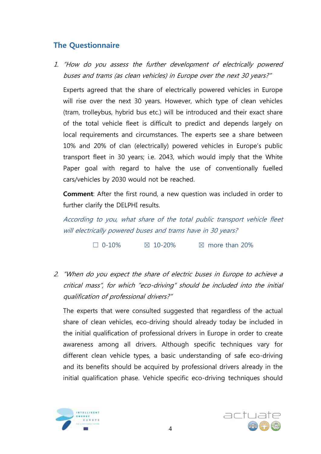## **The Questionnaire**

1. "How do you assess the further development of electrically powered buses and trams (as clean vehicles) in Europe over the next 30 years?"

Experts agreed that the share of electrically powered vehicles in Europe will rise over the next 30 years. However, which type of clean vehicles (tram, trolleybus, hybrid bus etc.) will be introduced and their exact share of the total vehicle fleet is difficult to predict and depends largely on local requirements and circumstances. The experts see a share between 10% and 20% of clan (electrically) powered vehicles in Europe's public transport fleet in 30 years; i.e. 2043, which would imply that the White Paper goal with regard to halve the use of conventionally fuelled cars/vehicles by 2030 would not be reached.

**Comment**: After the first round, a new question was included in order to further clarify the DELPHI results.

According to you, what share of the total public transport vehicle fleet will electrically powered buses and trams have in 30 years?

 $\Box$  0-10%  $\boxtimes$  10-20%  $\boxtimes$  more than 20%

2. "When do you expect the share of electric buses in Europe to achieve a critical mass", for which "eco-driving" should be included into the initial qualification of professional drivers?"

The experts that were consulted suggested that regardless of the actual share of clean vehicles, eco-driving should already today be included in the initial qualification of professional drivers in Europe in order to create awareness among all drivers. Although specific techniques vary for different clean vehicle types, a basic understanding of safe eco-driving and its benefits should be acquired by professional drivers already in the initial qualification phase. Vehicle specific eco-driving techniques should



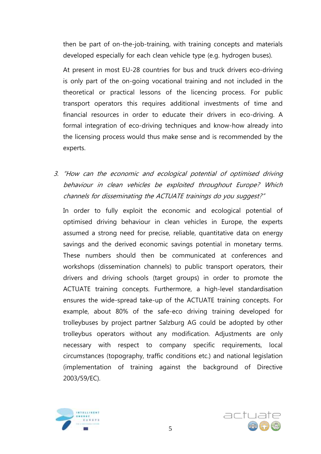then be part of on-the-job-training, with training concepts and materials developed especially for each clean vehicle type (e.g. hydrogen buses).

At present in most EU-28 countries for bus and truck drivers eco-driving is only part of the on-going vocational training and not included in the theoretical or practical lessons of the licencing process. For public transport operators this requires additional investments of time and financial resources in order to educate their drivers in eco-driving. A formal integration of eco-driving techniques and know-how already into the licensing process would thus make sense and is recommended by the experts.

3. "How can the economic and ecological potential of optimised driving behaviour in clean vehicles be exploited throughout Europe? Which channels for disseminating the ACTUATE trainings do you suggest?"

In order to fully exploit the economic and ecological potential of optimised driving behaviour in clean vehicles in Europe, the experts assumed a strong need for precise, reliable, quantitative data on energy savings and the derived economic savings potential in monetary terms. These numbers should then be communicated at conferences and workshops (dissemination channels) to public transport operators, their drivers and driving schools (target groups) in order to promote the ACTUATE training concepts. Furthermore, a high-level standardisation ensures the wide-spread take-up of the ACTUATE training concepts. For example, about 80% of the safe-eco driving training developed for trolleybuses by project partner Salzburg AG could be adopted by other trolleybus operators without any modification. Adjustments are only necessary with respect to company specific requirements, local circumstances (topography, traffic conditions etc.) and national legislation (implementation of training against the background of Directive 2003/59/EC).



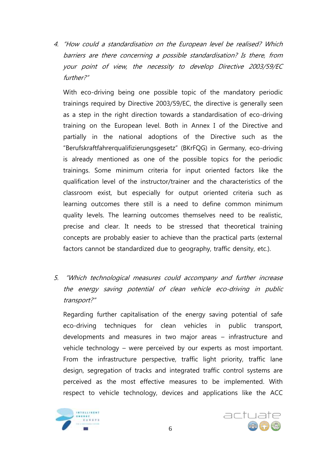4. "How could a standardisation on the European level be realised? Which barriers are there concerning a possible standardisation? Is there, from your point of view, the necessity to develop Directive 2003/59/EC further?"

With eco-driving being one possible topic of the mandatory periodic trainings required by Directive 2003/59/EC, the directive is generally seen as a step in the right direction towards a standardisation of eco-driving training on the European level. Both in Annex I of the Directive and partially in the national adoptions of the Directive such as the "Berufskraftfahrerqualifizierungsgesetz" (BKrFQG) in Germany, eco-driving is already mentioned as one of the possible topics for the periodic trainings. Some minimum criteria for input oriented factors like the qualification level of the instructor/trainer and the characteristics of the classroom exist, but especially for output oriented criteria such as learning outcomes there still is a need to define common minimum quality levels. The learning outcomes themselves need to be realistic, precise and clear. It needs to be stressed that theoretical training concepts are probably easier to achieve than the practical parts (external factors cannot be standardized due to geography, traffic density, etc.).

5. "Which technological measures could accompany and further increase the energy saving potential of clean vehicle eco-driving in public transport?"

Regarding further capitalisation of the energy saving potential of safe eco-driving techniques for clean vehicles in public transport, developments and measures in two major areas – infrastructure and vehicle technology – were perceived by our experts as most important. From the infrastructure perspective, traffic light priority, traffic lane design, segregation of tracks and integrated traffic control systems are perceived as the most effective measures to be implemented. With respect to vehicle technology, devices and applications like the ACC



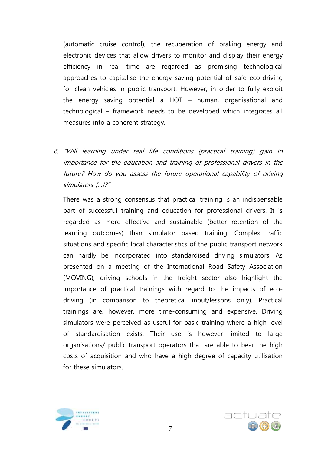(automatic cruise control), the recuperation of braking energy and electronic devices that allow drivers to monitor and display their energy efficiency in real time are regarded as promising technological approaches to capitalise the energy saving potential of safe eco-driving for clean vehicles in public transport. However, in order to fully exploit the energy saving potential a HOT – human, organisational and technological – framework needs to be developed which integrates all measures into a coherent strategy.

6. "Will learning under real life conditions (practical training) gain in importance for the education and training of professional drivers in the future? How do you assess the future operational capability of driving simulators […]?"

There was a strong consensus that practical training is an indispensable part of successful training and education for professional drivers. It is regarded as more effective and sustainable (better retention of the learning outcomes) than simulator based training. Complex traffic situations and specific local characteristics of the public transport network can hardly be incorporated into standardised driving simulators. As presented on a meeting of the International Road Safety Association (MOVING), driving schools in the freight sector also highlight the importance of practical trainings with regard to the impacts of ecodriving (in comparison to theoretical input/lessons only). Practical trainings are, however, more time-consuming and expensive. Driving simulators were perceived as useful for basic training where a high level of standardisation exists. Their use is however limited to large organisations/ public transport operators that are able to bear the high costs of acquisition and who have a high degree of capacity utilisation for these simulators.



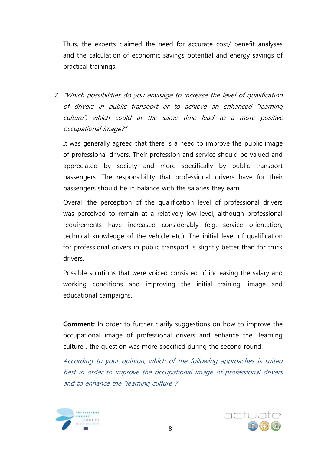Thus, the experts claimed the need for accurate cost/ benefit analyses and the calculation of economic savings potential and energy savings of practical trainings.

7. "Which possibilities do you envisage to increase the level of qualification of drivers in public transport or to achieve an enhanced "learning culture", which could at the same time lead to a more positive occupational image?"

It was generally agreed that there is a need to improve the public image of professional drivers. Their profession and service should be valued and appreciated by society and more specifically by public transport passengers. The responsibility that professional drivers have for their passengers should be in balance with the salaries they earn.

Overall the perception of the qualification level of professional drivers was perceived to remain at a relatively low level, although professional requirements have increased considerably (e.g. service orientation, technical knowledge of the vehicle etc.). The initial level of qualification for professional drivers in public transport is slightly better than for truck drivers.

Possible solutions that were voiced consisted of increasing the salary and working conditions and improving the initial training, image and educational campaigns.

**Comment:** In order to further clarify suggestions on how to improve the occupational image of professional drivers and enhance the "learning culture", the question was more specified during the second round.

According to your opinion, which of the following approaches is suited best in order to improve the occupational image of professional drivers and to enhance the "learning culture"?



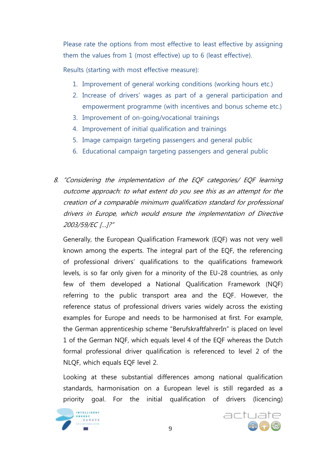Please rate the options from most effective to least effective by assigning them the values from 1 (most effective) up to 6 (least effective).

Results (starting with most effective measure):

- 1. Improvement of general working conditions (working hours etc.)
- 2. Increase of drivers' wages as part of a general participation and empowerment programme (with incentives and bonus scheme etc.)
- 3. Improvement of on-going/vocational trainings
- 4. Improvement of initial qualification and trainings
- 5. Image campaign targeting passengers and general public
- 6. Educational campaign targeting passengers and general public
- 8. "Considering the implementation of the EQF categories/ EQF learning outcome approach: to what extent do you see this as an attempt for the creation of a comparable minimum qualification standard for professional drivers in Europe, which would ensure the implementation of Directive 2003/59/EC […]?"

Generally, the European Qualification Framework (EQF) was not very well known among the experts. The integral part of the EQF, the referencing of professional drivers' qualifications to the qualifications framework levels, is so far only given for a minority of the EU-28 countries, as only few of them developed a National Qualification Framework (NQF) referring to the public transport area and the EQF. However, the reference status of professional drivers varies widely across the existing examples for Europe and needs to be harmonised at first. For example, the German apprenticeship scheme "BerufskraftfahrerIn" is placed on level 1 of the German NQF, which equals level 4 of the EQF whereas the Dutch formal professional driver qualification is referenced to level 2 of the NLQF, which equals EQF level 2.

Looking at these substantial differences among national qualification standards, harmonisation on a European level is still regarded as a priority goal. For the initial qualification of drivers (licencing)



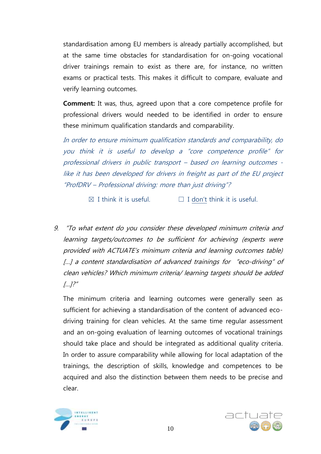standardisation among EU members is already partially accomplished, but at the same time obstacles for standardisation for on-going vocational driver trainings remain to exist as there are, for instance, no written exams or practical tests. This makes it difficult to compare, evaluate and verify learning outcomes.

**Comment:** It was, thus, agreed upon that a core competence profile for professional drivers would needed to be identified in order to ensure these minimum qualification standards and comparability.

In order to ensure minimum qualification standards and comparability, do you think it is useful to develop a "core competence profile" for professional drivers in public transport – based on learning outcomes like it has been developed for drivers in freight as part of the EU project "ProfDRV – Professional driving: more than just driving"?

 $\boxtimes$  I think it is useful.  $\Box$  I don't think it is useful.

9. "To what extent do you consider these developed minimum criteria and learning targets/outcomes to be sufficient for achieving (experts were provided with ACTUATE's minimum criteria and learning outcomes table) [...] a content standardisation of advanced trainings for "eco-driving" of clean vehicles? Which minimum criteria/ learning targets should be added  $[...]$ ?"

The minimum criteria and learning outcomes were generally seen as sufficient for achieving a standardisation of the content of advanced ecodriving training for clean vehicles. At the same time regular assessment and an on-going evaluation of learning outcomes of vocational trainings should take place and should be integrated as additional quality criteria. In order to assure comparability while allowing for local adaptation of the trainings, the description of skills, knowledge and competences to be acquired and also the distinction between them needs to be precise and clear.